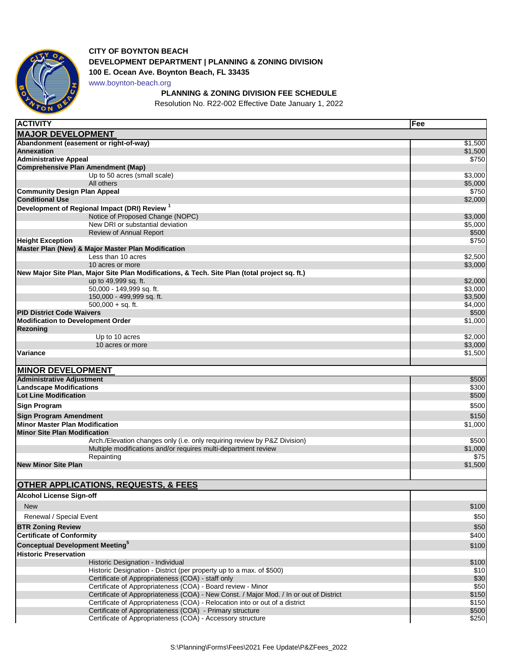

## **CITY OF BOYNTON BEACH DEVELOPMENT DEPARTMENT | PLANNING & ZONING DIVISION**

**100 E. Ocean Ave. Boynton Beach, FL 33435**

www.boynton-beach.org

## **PLANNING & ZONING DIVISION FEE SCHEDULE**

Resolution No. R22-002 Effective Date January 1, 2022

| <b>ACTIVITY</b>                                                                                                                                       | Fee              |
|-------------------------------------------------------------------------------------------------------------------------------------------------------|------------------|
| <b>MAJOR DEVELOPMENT</b>                                                                                                                              |                  |
| Abandonment (easement or right-of-way)                                                                                                                | \$1,500          |
| <b>Annexation</b>                                                                                                                                     | \$1,500          |
| <b>Administrative Appeal</b>                                                                                                                          | \$750            |
| <b>Comprehensive Plan Amendment (Map)</b>                                                                                                             |                  |
| Up to 50 acres (small scale)                                                                                                                          | \$3,000          |
| All others                                                                                                                                            | \$5,000<br>\$750 |
| <b>Community Design Plan Appeal</b><br><b>Conditional Use</b>                                                                                         | \$2,000          |
| Development of Regional Impact (DRI) Review <sup>1</sup>                                                                                              |                  |
| Notice of Proposed Change (NOPC)                                                                                                                      | \$3,000          |
| New DRI or substantial deviation                                                                                                                      | \$5,000          |
| <b>Review of Annual Report</b>                                                                                                                        | \$500            |
| <b>Height Exception</b>                                                                                                                               | \$750            |
| Master Plan (New) & Major Master Plan Modification                                                                                                    |                  |
| Less than 10 acres                                                                                                                                    | \$2,500          |
| 10 acres or more<br>New Major Site Plan, Major Site Plan Modifications, & Tech. Site Plan (total project sq. ft.)                                     | \$3,000          |
| up to 49,999 sq. ft.                                                                                                                                  | \$2,000          |
| 50,000 - 149,999 sq. ft.                                                                                                                              | \$3,000          |
| 150,000 - 499,999 sq. ft.                                                                                                                             | \$3,500          |
| $500,000 + sq.$ ft.                                                                                                                                   | \$4,000          |
| <b>PID District Code Waivers</b>                                                                                                                      | \$500            |
| <b>Modification to Development Order</b>                                                                                                              | \$1,000          |
| Rezoning<br>Up to 10 acres                                                                                                                            | \$2,000          |
| 10 acres or more                                                                                                                                      | \$3,000          |
| Variance                                                                                                                                              | \$1,500          |
|                                                                                                                                                       |                  |
| <b>MINOR DEVELOPMENT</b>                                                                                                                              |                  |
| <b>Administrative Adjustment</b>                                                                                                                      | \$500            |
| <b>Landscape Modifications</b>                                                                                                                        | \$300            |
| <b>Lot Line Modification</b>                                                                                                                          | \$500            |
| <b>Sign Program</b>                                                                                                                                   | \$500            |
| Sign Program Amendment                                                                                                                                | \$150            |
| <b>Minor Master Plan Modification</b>                                                                                                                 | \$1,000          |
| <b>Minor Site Plan Modification</b>                                                                                                                   |                  |
| Arch./Elevation changes only (i.e. only requiring review by P&Z Division)                                                                             | \$500            |
| Multiple modifications and/or requires multi-department review                                                                                        | \$1,000<br>\$75  |
| Repainting<br><b>New Minor Site Plan</b>                                                                                                              | \$1,500          |
|                                                                                                                                                       |                  |
| <b>OTHER APPLICATIONS, REQUESTS, &amp; FEES</b>                                                                                                       |                  |
|                                                                                                                                                       |                  |
| <b>Alcohol License Sign-off</b>                                                                                                                       |                  |
| <b>New</b>                                                                                                                                            | \$100            |
| Renewal / Special Event                                                                                                                               | \$50             |
| <b>BTR Zoning Review</b>                                                                                                                              | \$50             |
| <b>Certificate of Conformity</b>                                                                                                                      | \$400            |
| <b>Conceptual Development Meeting</b> <sup>5</sup>                                                                                                    | \$100            |
| <b>Historic Preservation</b>                                                                                                                          |                  |
| Historic Designation - Individual                                                                                                                     | \$100            |
| Historic Designation - District (per property up to a max. of \$500)                                                                                  | \$10             |
| Certificate of Appropriateness (COA) - staff only                                                                                                     | \$30             |
| Certificate of Appropriateness (COA) - Board review - Minor<br>Certificate of Appropriateness (COA) - New Const. / Major Mod. / In or out of District | \$50<br>\$150    |
| Certificate of Appropriateness (COA) - Relocation into or out of a district                                                                           | \$150            |
| Certificate of Appropriateness (COA) - Primary structure                                                                                              | \$500            |
| Certificate of Appropriateness (COA) - Accessory structure                                                                                            | \$250            |